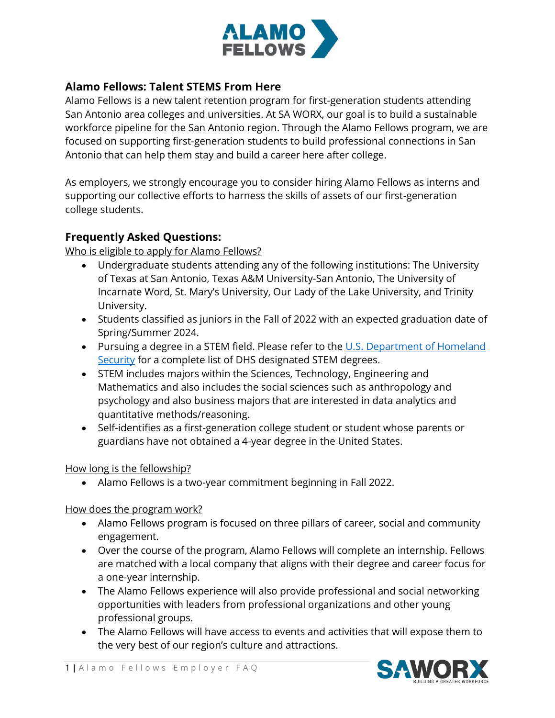

## **Alamo Fellows: Talent STEMS From Here**

Alamo Fellows is a new talent retention program for first-generation students attending San Antonio area colleges and universities. At SA WORX, our goal is to build a sustainable workforce pipeline for the San Antonio region. Through the Alamo Fellows program, we are focused on supporting first-generation students to build professional connections in San Antonio that can help them stay and build a career here after college.

As employers, we strongly encourage you to consider hiring Alamo Fellows as interns and supporting our collective efforts to harness the skills of assets of our first-generation college students.

## **Frequently Asked Questions:**

Who is eligible to apply for Alamo Fellows?

- Undergraduate students attending any of the following institutions: The University of Texas at San Antonio, Texas A&M University-San Antonio, The University of Incarnate Word, St. Mary's University, Our Lady of the Lake University, and Trinity University.
- Students classified as juniors in the Fall of 2022 with an expected graduation date of Spring/Summer 2024.
- Pursuing a degree in a STEM field. Please refer to the U.S. Department of Homeland [Security](https://www.ice.gov/doclib/sevis/pdf/stemList2022.pdf) for a complete list of DHS designated STEM degrees.
- STEM includes majors within the Sciences, Technology, Engineering and Mathematics and also includes the social sciences such as anthropology and psychology and also business majors that are interested in data analytics and quantitative methods/reasoning.
- Self-identifies as a first-generation college student or student whose parents or guardians have not obtained a 4-year degree in the United States.

## How long is the fellowship?

• Alamo Fellows is a two-year commitment beginning in Fall 2022.

How does the program work?

- Alamo Fellows program is focused on three pillars of career, social and community engagement.
- Over the course of the program, Alamo Fellows will complete an internship. Fellows are matched with a local company that aligns with their degree and career focus for a one-year internship.
- The Alamo Fellows experience will also provide professional and social networking opportunities with leaders from professional organizations and other young professional groups.
- The Alamo Fellows will have access to events and activities that will expose them to the very best of our region's culture and attractions.